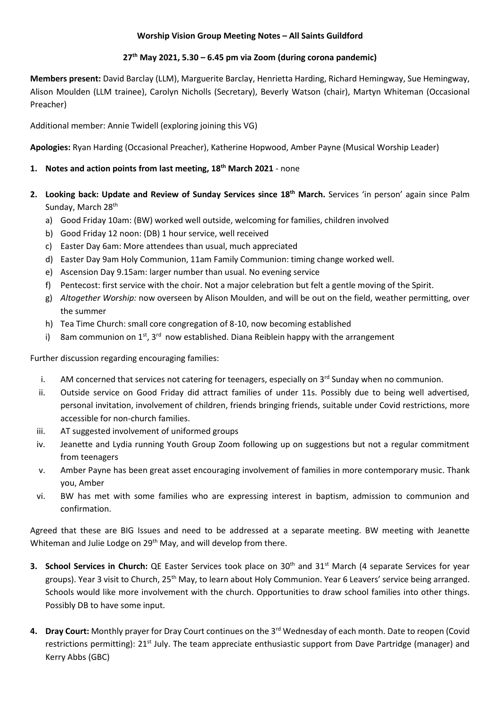### **Worship Vision Group Meeting Notes – All Saints Guildford**

### **27th May 2021, 5.30 – 6.45 pm via Zoom (during corona pandemic)**

**Members present:** David Barclay (LLM), Marguerite Barclay, Henrietta Harding, Richard Hemingway, Sue Hemingway, Alison Moulden (LLM trainee), Carolyn Nicholls (Secretary), Beverly Watson (chair), Martyn Whiteman (Occasional Preacher)

Additional member: Annie Twidell (exploring joining this VG)

**Apologies:** Ryan Harding (Occasional Preacher), Katherine Hopwood, Amber Payne (Musical Worship Leader)

## **1. Notes and action points from last meeting, 18th March 2021** - none

- **2. Looking back: Update and Review of Sunday Services since 18th March.** Services 'in person' again since Palm Sunday, March 28th
	- a) Good Friday 10am: (BW) worked well outside, welcoming for families, children involved
	- b) Good Friday 12 noon: (DB) 1 hour service, well received
	- c) Easter Day 6am: More attendees than usual, much appreciated
	- d) Easter Day 9am Holy Communion, 11am Family Communion: timing change worked well.
	- e) Ascension Day 9.15am: larger number than usual. No evening service
	- f) Pentecost: first service with the choir. Not a major celebration but felt a gentle moving of the Spirit.
	- g) *Altogether Worship:* now overseen by Alison Moulden, and will be out on the field, weather permitting, over the summer
	- h) Tea Time Church: small core congregation of 8-10, now becoming established
	- i) 8am communion on 1<sup>st</sup>, 3<sup>rd</sup> now established. Diana Reiblein happy with the arrangement

Further discussion regarding encouraging families:

- i. AM concerned that services not catering for teenagers, especially on  $3<sup>rd</sup>$  Sunday when no communion.
- ii. Outside service on Good Friday did attract families of under 11s. Possibly due to being well advertised, personal invitation, involvement of children, friends bringing friends, suitable under Covid restrictions, more accessible for non-church families.
- iii. AT suggested involvement of uniformed groups
- iv. Jeanette and Lydia running Youth Group Zoom following up on suggestions but not a regular commitment from teenagers
- v. Amber Payne has been great asset encouraging involvement of families in more contemporary music. Thank you, Amber
- vi. BW has met with some families who are expressing interest in baptism, admission to communion and confirmation.

Agreed that these are BIG Issues and need to be addressed at a separate meeting. BW meeting with Jeanette Whiteman and Julie Lodge on 29<sup>th</sup> May, and will develop from there.

- **3. School Services in Church:** QE Easter Services took place on 30<sup>th</sup> and 31<sup>st</sup> March (4 separate Services for year groups). Year 3 visit to Church, 25<sup>th</sup> May, to learn about Holy Communion. Year 6 Leavers' service being arranged. Schools would like more involvement with the church. Opportunities to draw school families into other things. Possibly DB to have some input.
- **4. Dray Court:** Monthly prayer for Dray Court continues on the 3rd Wednesday of each month. Date to reopen (Covid restrictions permitting): 21<sup>st</sup> July. The team appreciate enthusiastic support from Dave Partridge (manager) and Kerry Abbs (GBC)